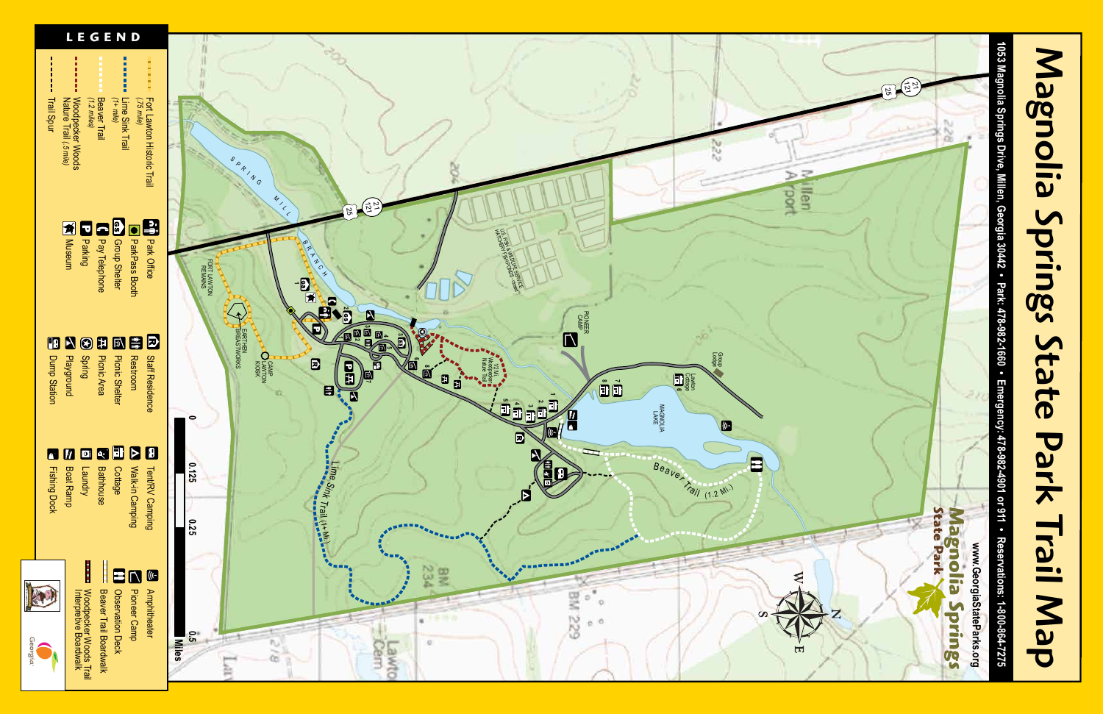